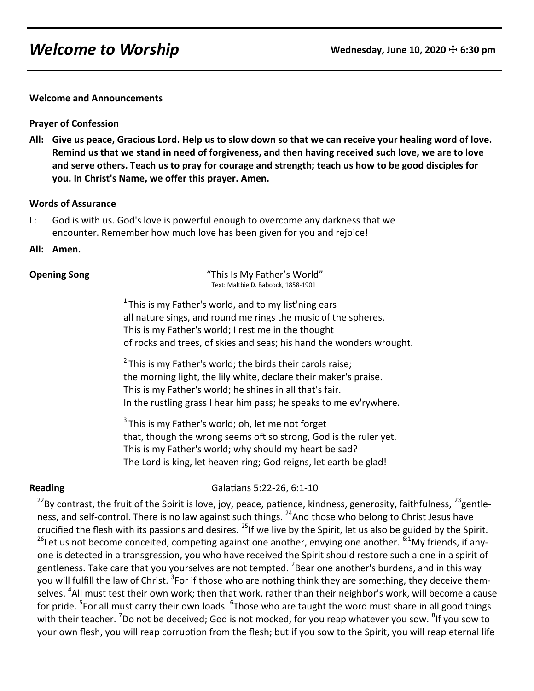# **Welcome to Worship Wednesday, June 10, 2020**  $\pm$  **6:30 pm**

**Welcome and Announcements**

**Prayer of Confession**

**All: Give us peace, Gracious Lord. Help us to slow down so that we can receive your healing word of love. Remind us that we stand in need of forgiveness, and then having received such love, we are to love and serve others. Teach us to pray for courage and strength; teach us how to be good disciples for you. In Christ's Name, we offer this prayer. Amen.**

### **Words of Assurance**

- L: God is with us. God's love is powerful enough to overcome any darkness that we encounter. Remember how much love has been given for you and rejoice!
- **All: Amen.**

**Opening Song** This Is My Father's World" Text: Maltbie D. Babcock, 1858-1901

> $1$ This is my Father's world, and to my list'ning ears all nature sings, and round me rings the music of the spheres. This is my Father's world; I rest me in the thought of rocks and trees, of skies and seas; his hand the wonders wrought.

 $2$  This is my Father's world; the birds their carols raise; the morning light, the lily white, declare their maker's praise. This is my Father's world; he shines in all that's fair. In the rustling grass I hear him pass; he speaks to me ev'rywhere.

 $3$ This is my Father's world: oh, let me not forget that, though the wrong seems oft so strong, God is the ruler yet. This is my Father's world; why should my heart be sad? The Lord is king, let heaven ring; God reigns, let earth be glad!

**Reading** Galatians 5:22-26, 6:1-10

 $^{22}$ By contrast, the fruit of the Spirit is love, joy, peace, patience, kindness, generosity, faithfulness,  $^{23}$ gentleness, and self-control. There is no law against such things. <sup>24</sup>And those who belong to Christ Jesus have crucified the flesh with its passions and desires. <sup>25</sup>If we live by the Spirit, let us also be guided by the Spirit. <sup>26</sup>Let us not become conceited, competing against one another, envying one another. <sup>6:1</sup>My friends, if anyone is detected in a transgression, you who have received the Spirit should restore such a one in a spirit of gentleness. Take care that you yourselves are not tempted. <sup>2</sup>Bear one another's burdens, and in this way you will fulfill the law of Christ. <sup>3</sup>For if those who are nothing think they are something, they deceive themselves. <sup>4</sup>All must test their own work; then that work, rather than their neighbor's work, will become a cause for pride. <sup>5</sup>For all must carry their own loads. <sup>6</sup>Those who are taught the word must share in all good things with their teacher. <sup>7</sup>Do not be deceived; God is not mocked, for you reap whatever you sow. <sup>8</sup>If you sow to your own flesh, you will reap corruption from the flesh; but if you sow to the Spirit, you will reap eternal life